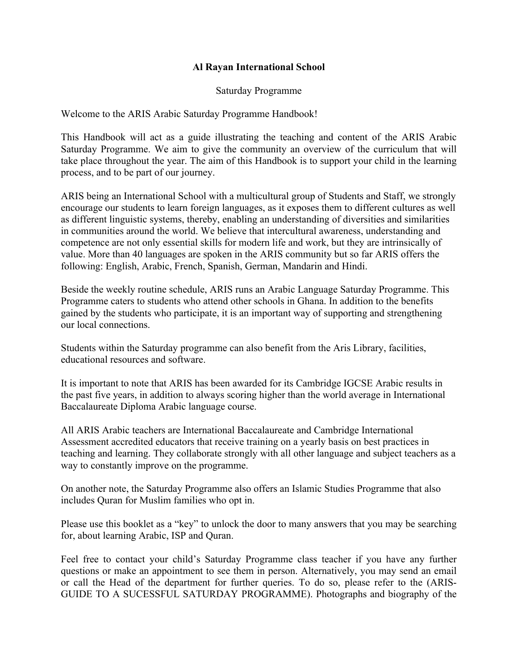### **Al Rayan International School**

#### Saturday Programme

Welcome to the ARIS Arabic Saturday Programme Handbook!

This Handbook will act as a guide illustrating the teaching and content of the ARIS Arabic Saturday Programme. We aim to give the community an overview of the curriculum that will take place throughout the year. The aim of this Handbook is to support your child in the learning process, and to be part of our journey.

ARIS being an International School with a multicultural group of Students and Staff, we strongly encourage our students to learn foreign languages, as it exposes them to different cultures as well as different linguistic systems, thereby, enabling an understanding of diversities and similarities in communities around the world. We believe that intercultural awareness, understanding and competence are not only essential skills for modern life and work, but they are intrinsically of value. More than 40 languages are spoken in the ARIS community but so far ARIS offers the following: English, Arabic, French, Spanish, German, Mandarin and Hindi.

Beside the weekly routine schedule, ARIS runs an Arabic Language Saturday Programme. This Programme caters to students who attend other schools in Ghana. In addition to the benefits gained by the students who participate, it is an important way of supporting and strengthening our local connections.

Students within the Saturday programme can also benefit from the Aris Library, facilities, educational resources and software.

It is important to note that ARIS has been awarded for its Cambridge IGCSE Arabic results in the past five years, in addition to always scoring higher than the world average in International Baccalaureate Diploma Arabic language course.

All ARIS Arabic teachers are International Baccalaureate and Cambridge International Assessment accredited educators that receive training on a yearly basis on best practices in teaching and learning. They collaborate strongly with all other language and subject teachers as a way to constantly improve on the programme.

On another note, the Saturday Programme also offers an Islamic Studies Programme that also includes Quran for Muslim families who opt in.

Please use this booklet as a "key" to unlock the door to many answers that you may be searching for, about learning Arabic, ISP and Quran.

Feel free to contact your child's Saturday Programme class teacher if you have any further questions or make an appointment to see them in person. Alternatively, you may send an email or call the Head of the department for further queries. To do so, please refer to the (ARIS-GUIDE TO A SUCESSFUL SATURDAY PROGRAMME). Photographs and biography of the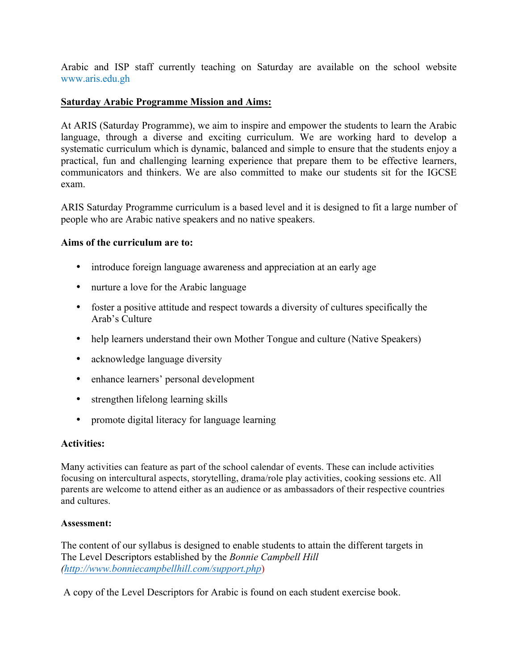Arabic and ISP staff currently teaching on Saturday are available on the school website www.aris.edu.gh

### **Saturday Arabic Programme Mission and Aims:**

At ARIS (Saturday Programme), we aim to inspire and empower the students to learn the Arabic language, through a diverse and exciting curriculum. We are working hard to develop a systematic curriculum which is dynamic, balanced and simple to ensure that the students enjoy a practical, fun and challenging learning experience that prepare them to be effective learners, communicators and thinkers. We are also committed to make our students sit for the IGCSE exam.

ARIS Saturday Programme curriculum is a based level and it is designed to fit a large number of people who are Arabic native speakers and no native speakers.

#### **Aims of the curriculum are to:**

- introduce foreign language awareness and appreciation at an early age
- nurture a love for the Arabic language
- foster a positive attitude and respect towards a diversity of cultures specifically the Arab's Culture
- help learners understand their own Mother Tongue and culture (Native Speakers)
- acknowledge language diversity
- enhance learners' personal development
- strengthen lifelong learning skills
- promote digital literacy for language learning

#### **Activities:**

Many activities can feature as part of the school calendar of events. These can include activities focusing on intercultural aspects, storytelling, drama/role play activities, cooking sessions etc. All parents are welcome to attend either as an audience or as ambassadors of their respective countries and cultures.

#### **Assessment:**

The content of our syllabus is designed to enable students to attain the different targets in The Level Descriptors established by the *Bonnie Campbell Hill (http://www.bonniecampbellhill.com/support.php*)

A copy of the Level Descriptors for Arabic is found on each student exercise book.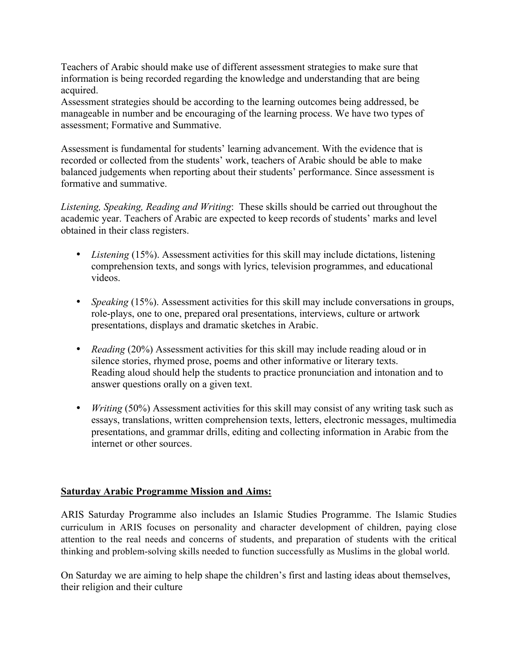Teachers of Arabic should make use of different assessment strategies to make sure that information is being recorded regarding the knowledge and understanding that are being acquired.

Assessment strategies should be according to the learning outcomes being addressed, be manageable in number and be encouraging of the learning process. We have two types of assessment; Formative and Summative.

Assessment is fundamental for students' learning advancement. With the evidence that is recorded or collected from the students' work, teachers of Arabic should be able to make balanced judgements when reporting about their students' performance. Since assessment is formative and summative.

*Listening, Speaking, Reading and Writing*: These skills should be carried out throughout the academic year. Teachers of Arabic are expected to keep records of students' marks and level obtained in their class registers.

- *Listening* (15%). Assessment activities for this skill may include dictations, listening comprehension texts, and songs with lyrics, television programmes, and educational videos.
- *Speaking* (15%). Assessment activities for this skill may include conversations in groups, role-plays, one to one, prepared oral presentations, interviews, culture or artwork presentations, displays and dramatic sketches in Arabic.
- *Reading* (20%) Assessment activities for this skill may include reading aloud or in silence stories, rhymed prose, poems and other informative or literary texts. Reading aloud should help the students to practice pronunciation and intonation and to answer questions orally on a given text.
- *Writing* (50%) Assessment activities for this skill may consist of any writing task such as essays, translations, written comprehension texts, letters, electronic messages, multimedia presentations, and grammar drills, editing and collecting information in Arabic from the internet or other sources.

# **Saturday Arabic Programme Mission and Aims:**

ARIS Saturday Programme also includes an Islamic Studies Programme. The Islamic Studies curriculum in ARIS focuses on personality and character development of children, paying close attention to the real needs and concerns of students, and preparation of students with the critical thinking and problem-solving skills needed to function successfully as Muslims in the global world.

On Saturday we are aiming to help shape the children's first and lasting ideas about themselves, their religion and their culture